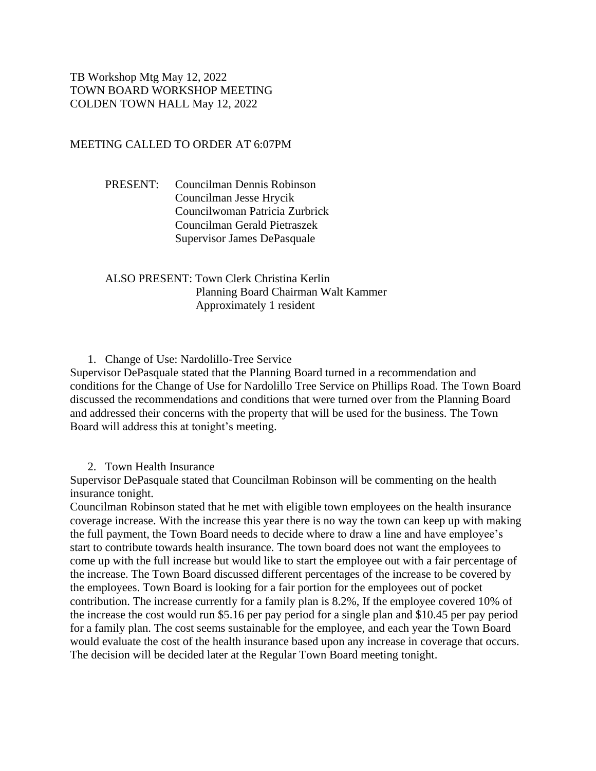TB Workshop Mtg May 12, 2022 TOWN BOARD WORKSHOP MEETING COLDEN TOWN HALL May 12, 2022

## MEETING CALLED TO ORDER AT 6:07PM

PRESENT: Councilman Dennis Robinson Councilman Jesse Hrycik Councilwoman Patricia Zurbrick Councilman Gerald Pietraszek Supervisor James DePasquale

ALSO PRESENT: Town Clerk Christina Kerlin Planning Board Chairman Walt Kammer Approximately 1 resident

1. Change of Use: Nardolillo-Tree Service

Supervisor DePasquale stated that the Planning Board turned in a recommendation and conditions for the Change of Use for Nardolillo Tree Service on Phillips Road. The Town Board discussed the recommendations and conditions that were turned over from the Planning Board and addressed their concerns with the property that will be used for the business. The Town Board will address this at tonight's meeting.

2. Town Health Insurance

Supervisor DePasquale stated that Councilman Robinson will be commenting on the health insurance tonight.

Councilman Robinson stated that he met with eligible town employees on the health insurance coverage increase. With the increase this year there is no way the town can keep up with making the full payment, the Town Board needs to decide where to draw a line and have employee's start to contribute towards health insurance. The town board does not want the employees to come up with the full increase but would like to start the employee out with a fair percentage of the increase. The Town Board discussed different percentages of the increase to be covered by the employees. Town Board is looking for a fair portion for the employees out of pocket contribution. The increase currently for a family plan is 8.2%, If the employee covered 10% of the increase the cost would run \$5.16 per pay period for a single plan and \$10.45 per pay period for a family plan. The cost seems sustainable for the employee, and each year the Town Board would evaluate the cost of the health insurance based upon any increase in coverage that occurs. The decision will be decided later at the Regular Town Board meeting tonight.